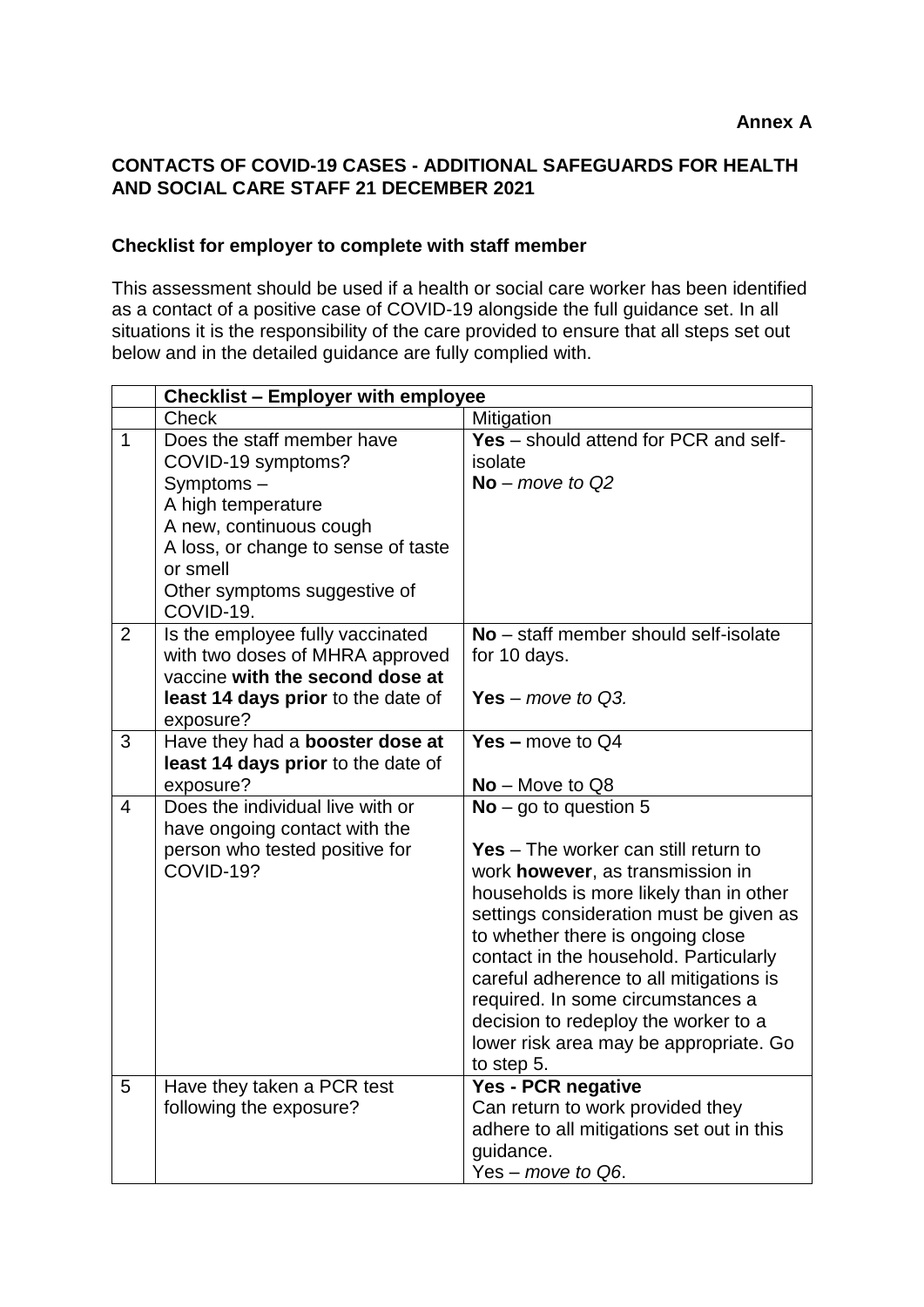## **CONTACTS OF COVID-19 CASES - ADDITIONAL SAFEGUARDS FOR HEALTH AND SOCIAL CARE STAFF 21 DECEMBER 2021**

## **Checklist for employer to complete with staff member**

This assessment should be used if a health or social care worker has been identified as a contact of a positive case of COVID-19 alongside the full guidance set. In all situations it is the responsibility of the care provided to ensure that all steps set out below and in the detailed guidance are fully complied with.

|                | <b>Checklist - Employer with employee</b>                                                                                                                                                                      |                                                                                                                                                                                                                                                                                                                                                                                                                                                                 |
|----------------|----------------------------------------------------------------------------------------------------------------------------------------------------------------------------------------------------------------|-----------------------------------------------------------------------------------------------------------------------------------------------------------------------------------------------------------------------------------------------------------------------------------------------------------------------------------------------------------------------------------------------------------------------------------------------------------------|
|                | <b>Check</b>                                                                                                                                                                                                   | Mitigation                                                                                                                                                                                                                                                                                                                                                                                                                                                      |
| $\mathbf{1}$   | Does the staff member have<br>COVID-19 symptoms?<br>Symptoms-<br>A high temperature<br>A new, continuous cough<br>A loss, or change to sense of taste<br>or smell<br>Other symptoms suggestive of<br>COVID-19. | Yes - should attend for PCR and self-<br>isolate<br>$No$ – move to Q2                                                                                                                                                                                                                                                                                                                                                                                           |
| $\overline{2}$ | Is the employee fully vaccinated<br>with two doses of MHRA approved<br>vaccine with the second dose at<br>least 14 days prior to the date of<br>exposure?                                                      | No - staff member should self-isolate<br>for 10 days.<br>Yes – move to $Q3$ .                                                                                                                                                                                                                                                                                                                                                                                   |
| 3              | Have they had a booster dose at<br>least 14 days prior to the date of<br>exposure?                                                                                                                             | Yes $-$ move to $Q4$<br>No - Move to Q8                                                                                                                                                                                                                                                                                                                                                                                                                         |
| $\overline{4}$ | Does the individual live with or<br>have ongoing contact with the<br>person who tested positive for<br>COVID-19?                                                                                               | $No - go to question 5$<br><b>Yes</b> – The worker can still return to<br>work however, as transmission in<br>households is more likely than in other<br>settings consideration must be given as<br>to whether there is ongoing close<br>contact in the household. Particularly<br>careful adherence to all mitigations is<br>required. In some circumstances a<br>decision to redeploy the worker to a<br>lower risk area may be appropriate. Go<br>to step 5. |
| 5              | Have they taken a PCR test<br>following the exposure?                                                                                                                                                          | Yes - PCR negative<br>Can return to work provided they<br>adhere to all mitigations set out in this<br>guidance.<br>Yes – move to Q6.                                                                                                                                                                                                                                                                                                                           |